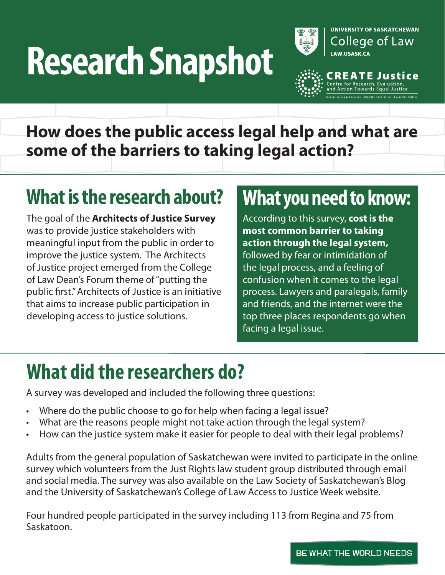# **Research Snapshot**



**TE Justice** 

**How does the public access legal help and what are some of the barriers to taking legal action?**

# **What is the research about? What you need to know:**

The goal of the **Architects of Justice Survey**  was to provide justice stakeholders with meaningful input from the public in order to improve the justice system. The Architects of Justice project emerged from the College of Law Dean's Forum theme of "putting the public first." Architects of Justice is an initiative that aims to increase public participation in developing access to justice solutions.

According to this survey, **cost is the most common barrier to taking action through the legal system,** followed by fear or intimidation of the legal process, and a feeling of confusion when it comes to the legal process. Lawyers and paralegals, family and friends, and the internet were the top three places respondents go when facing a legal issue.

# **What did the researchers do?**

A survey was developed and included the following three questions:

- Where do the public choose to go for help when facing a legal issue?
- What are the reasons people might not take action through the legal system?
- How can the justice system make it easier for people to deal with their legal problems?

Adults from the general population of Saskatchewan were invited to participate in the online survey which volunteers from the Just Rights law student group distributed through email and social media. The survey was also available on the Law Society of Saskatchewan's Blog and the University of Saskatchewan's College of Law Access to Justice Week website.

Four hundred people participated in the survey including 113 from Regina and 75 from Saskatoon.